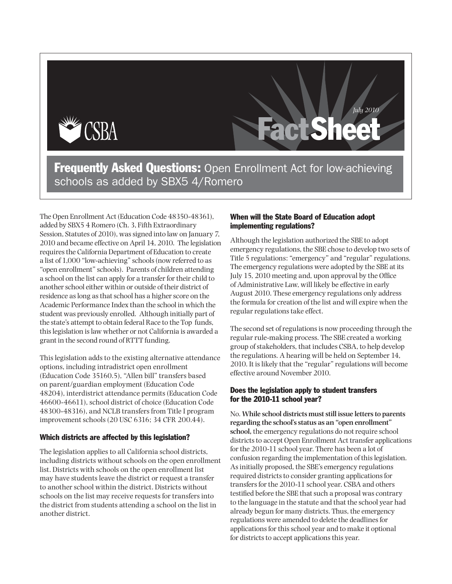

Frequently Asked Questions: Open Enrollment Act for low-achieving schools as added by SBX5 4/Romero

The Open Enrollment Act (Education Code 48350-48361), added by SBX5 4 Romero (Ch. 3, Fifth Extraordinary Session, Statutes of 2010), was signed into law on January 7, 2010 and became effective on April 14, 2010. The legislation requires the California Department of Education to create a list of 1,000 "low-achieving" schools (now referred to as "open enrollment" schools). Parents of children attending a school on the list can apply for a transfer for their child to another school either within or outside of their district of residence as long as that school has a higher score on the Academic Performance Index than the school in which the student was previously enrolled. Although initially part of the state's attempt to obtain federal Race to the Top funds, this legislation is law whether or not California is awarded a grant in the second round of RTTT funding.

This legislation adds to the existing alternative attendance options, including intradistrict open enrollment (Education Code 35160.5), "Allen bill" transfers based on parent/guardian employment (Education Code 48204), interdistrict attendance permits (Education Code 46600-46611), school district of choice (Education Code 48300-48316), and NCLB transfers from Title I program improvement schools (20 USC 6316; 34 CFR 200.44).

### Which districts are affected by this legislation?

The legislation applies to all California school districts, including districts without schools on the open enrollment list. Districts with schools on the open enrollment list may have students leave the district or request a transfer to another school within the district. Districts without schools on the list may receive requests for transfers into the district from students attending a school on the list in another district.

### When will the State Board of Education adopt implementing regulations?

Although the legislation authorized the SBE to adopt emergency regulations, the SBE chose to develop two sets of Title 5 regulations: "emergency" and "regular" regulations. The emergency regulations were adopted by the SBE at its July 15, 2010 meeting and, upon approval by the Office of Administrative Law, will likely be effective in early August 2010. These emergency regulations only address the formula for creation of the list and will expire when the regular regulations take effect.

The second set of regulations is now proceeding through the regular rule-making process. The SBE created a working group of stakeholders, that includes CSBA, to help develop the regulations. A hearing will be held on September 14, 2010. It is likely that the "regular" regulations will become effective around November 2010.

### Does the legislation apply to student transfers for the 2010-11 school year?

No. **While school districts must still issue letters to parents regarding the school's status as an "open enrollment" school,** the emergency regulations do not require school districts to accept Open Enrollment Act transfer applications for the 2010-11 school year. There has been a lot of confusion regarding the implementation of this legislation. As initially proposed, the SBE's emergency regulations required districts to consider granting applications for transfers for the 2010-11 school year. CSBA and others testified before the SBE that such a proposal was contrary to the language in the statute and that the school year had already begun for many districts. Thus, the emergency regulations were amended to delete the deadlines for applications for this school year and to make it optional for districts to accept applications this year.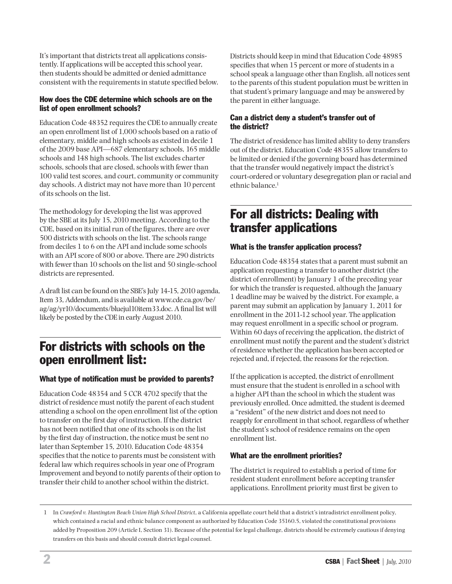It's important that districts treat all applications consistently. If applications will be accepted this school year, then students should be admitted or denied admittance consistent with the requirements in statute specified below.

## How does the CDE determine which schools are on the list of open enrollment schools?

Education Code 48352 requires the CDE to annually create an open enrollment list of 1,000 schools based on a ratio of elementary, middle and high schools as existed in decile 1 of the 2009 base API—687 elementary schools, 165 middle schools and 148 high schools. The list excludes charter schools, schools that are closed, schools with fewer than 100 valid test scores, and court, community or community day schools. A district may not have more than 10 percent of its schools on the list.

The methodology for developing the list was approved by the SBE at its July 15, 2010 meeting. According to the CDE, based on its initial run of the figures, there are over 500 districts with schools on the list. The schools range from deciles 1 to 6 on the API and include some schools with an API score of 800 or above. There are 290 districts with fewer than 10 schools on the list and 50 single-school districts are represented.

A draft list can be found on the SBE's July 14-15, 2010 agenda, Item 33, Addendum, and is available at www.cde.ca.gov/be/ ag/ag/yr10/documents/bluejul10item33.doc. A final list will likely be posted by the CDE in early August 2010.

# For districts with schools on the open enrollment list:

# What type of notification must be provided to parents?

Education Code 48354 and 5 CCR 4702 specify that the district of residence must notify the parent of each student attending a school on the open enrollment list of the option to transfer on the first day of instruction. If the district has not been notified that one of its schools is on the list by the first day of instruction, the notice must be sent no later than September 15, 2010. Education Code 48354 specifies that the notice to parents must be consistent with federal law which requires schools in year one of Program Improvement and beyond to notify parents of their option to transfer their child to another school within the district.

Districts should keep in mind that Education Code 48985 specifies that when 15 percent or more of students in a school speak a language other than English, all notices sent to the parents of this student population must be written in that student's primary language and may be answered by the parent in either language.

## Can a district deny a student's transfer out of the district?

The district of residence has limited ability to deny transfers out of the district. Education Code 48355 allow transfers to be limited or denied if the governing board has determined that the transfer would negatively impact the district's court-ordered or voluntary desegregation plan or racial and ethnic balance.<sup>1</sup>

# For all districts: Dealing with transfer applications

# What is the transfer application process?

Education Code 48354 states that a parent must submit an application requesting a transfer to another district (the district of enrollment) by January 1 of the preceding year for which the transfer is requested, although the January 1 deadline may be waived by the district. For example, a parent may submit an application by January 1, 2011 for enrollment in the 2011-12 school year. The application may request enrollment in a specific school or program. Within 60 days of receiving the application, the district of enrollment must notify the parent and the student's district of residence whether the application has been accepted or rejected and, if rejected, the reasons for the rejection.

If the application is accepted, the district of enrollment must ensure that the student is enrolled in a school with a higher API than the school in which the student was previously enrolled. Once admitted, the student is deemed a "resident" of the new district and does not need to reapply for enrollment in that school, regardless of whether the student's school of residence remains on the open enrollment list.

## What are the enrollment priorities?

The district is required to establish a period of time for resident student enrollment before accepting transfer applications. Enrollment priority must first be given to

 <sup>1</sup> In *Crawford v. Huntington Beach Union High School District*, a California appellate court held that a district's intradistrict enrollment policy, which contained a racial and ethnic balance component as authorized by Education Code 35160.5, violated the constitutional provisions added by Proposition 209 (Article I, Section 31). Because of the potential for legal challenge, districts should be extremely cautious if denying transfers on this basis and should consult district legal counsel.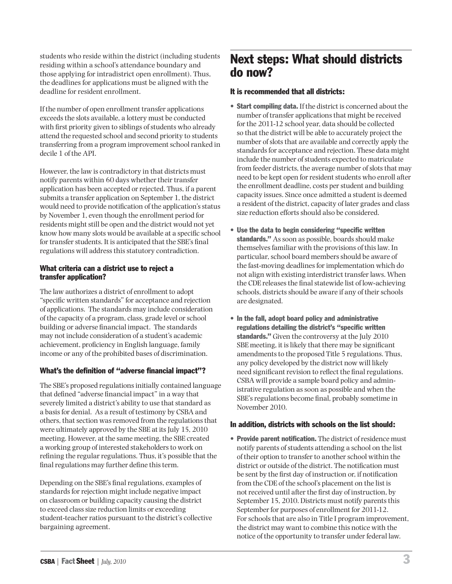students who reside within the district (including students residing within a school's attendance boundary and those applying for intradistrict open enrollment). Thus, the deadlines for applications must be aligned with the deadline for resident enrollment.

If the number of open enrollment transfer applications exceeds the slots available, a lottery must be conducted with first priority given to siblings of students who already attend the requested school and second priority to students transferring from a program improvement school ranked in decile 1 of the API.

However, the law is contradictory in that districts must notify parents within 60 days whether their transfer application has been accepted or rejected. Thus, if a parent submits a transfer application on September 1, the district would need to provide notification of the application's status by November 1, even though the enrollment period for residents might still be open and the district would not yet know how many slots would be available at a specific school for transfer students. It is anticipated that the SBE's final regulations will address this statutory contradiction.

## What criteria can a district use to reject a transfer application?

The law authorizes a district of enrollment to adopt "specific written standards" for acceptance and rejection of applications. The standards may include consideration of the capacity of a program, class, grade level or school building or adverse financial impact. The standards may not include consideration of a student's academic achievement, proficiency in English language, family income or any of the prohibited bases of discrimination.

# What's the definition of "adverse financial impact"?

The SBE's proposed regulations initially contained language that defined "adverse financial impact" in a way that severely limited a district's ability to use that standard as a basis for denial. As a result of testimony by CSBA and others, that section was removed from the regulations that were ultimately approved by the SBE at its July 15, 2010 meeting. However, at the same meeting, the SBE created a working group of interested stakeholders to work on refining the regular regulations. Thus, it's possible that the final regulations may further define this term.

Depending on the SBE's final regulations, examples of standards for rejection might include negative impact on classroom or building capacity causing the district to exceed class size reduction limits or exceeding student-teacher ratios pursuant to the district's collective bargaining agreement.

# Next steps: What should districts do now?

# It is recommended that all districts:

- Start compiling data. If the district is concerned about the number of transfer applications that might be received for the 2011-12 school year, data should be collected so that the district will be able to accurately project the number of slots that are available and correctly apply the standards for acceptance and rejection. These data might include the number of students expected to matriculate from feeder districts, the average number of slots that may need to be kept open for resident students who enroll after the enrollment deadline, costs per student and building capacity issues. Since once admitted a student is deemed a resident of the district, capacity of later grades and class size reduction efforts should also be considered.
- Use the data to begin considering "specific written standards." As soon as possible, boards should make themselves familiar with the provisions of this law. In particular, school board members should be aware of the fast-moving deadlines for implementation which do not align with existing interdistrict transfer laws. When the CDE releases the final statewide list of low-achieving schools, districts should be aware if any of their schools are designated.
- In the fall, adopt board policy and administrative regulations detailing the district's "specific written standards." Given the controversy at the July 2010 SBE meeting, it is likely that there may be significant amendments to the proposed Title 5 regulations. Thus, any policy developed by the district now will likely need significant revision to reflect the final regulations. CSBA will provide a sample board policy and administrative regulation as soon as possible and when the SBE's regulations become final, probably sometime in November 2010.

# In addition, districts with schools on the list should:

• Provide parent notification. The district of residence must notify parents of students attending a school on the list of their option to transfer to another school within the district or outside of the district. The notification must be sent by the first day of instruction or, if notification from the CDE of the school's placement on the list is not received until after the first day of instruction, by September 15, 2010. Districts must notify parents this September for purposes of enrollment for 2011-12. For schools that are also in Title I program improvement, the district may want to combine this notice with the notice of the opportunity to transfer under federal law.